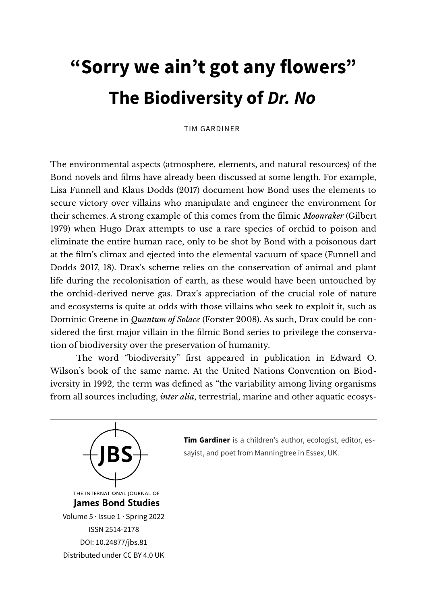## **"Sorry we ain't got any flowers" The Biodiversity of** *Dr. No*

## TIM GARDINER

The environmental aspects (atmosphere, elements, and natural resources) of the Bond novels and flms have already been discussed at some length. For example, Lisa Funnell and Klaus Dodds (2017) document how Bond uses the elements to secure victory over villains who manipulate and engineer the environment for their schemes. A strong example of this comes from the flmic *Moonraker* (Gilbert 1979) when Hugo Drax attempts to use a rare species of orchid to poison and eliminate the entire human race, only to be shot by Bond with a poisonous dart at the flm's climax and ejected into the elemental vacuum of space (Funnell and Dodds 2017, 18). Drax's scheme relies on the conservation of animal and plant life during the recolonisation of earth, as these would have been untouched by the orchid-derived nerve gas. Drax's appreciation of the crucial role of nature and ecosystems is quite at odds with those villains who seek to exploit it, such as Dominic Greene in *Quantum of Solace* (Forster 2008). As such, Drax could be considered the frst major villain in the flmic Bond series to privilege the conservation of biodiversity over the preservation of humanity.

The word "biodiversity" frst appeared in publication in Edward O. Wilson's book of the same name. At the United Nations Convention on Biodiversity in 1992, the term was defned as "the variability among living organisms from all sources including, *inter alia*, terrestrial, marine and other aquatic ecosys-



**Tim Gardiner** is a children's author, ecologist, editor, essayist, and poet from Manningtree in Essex, UK.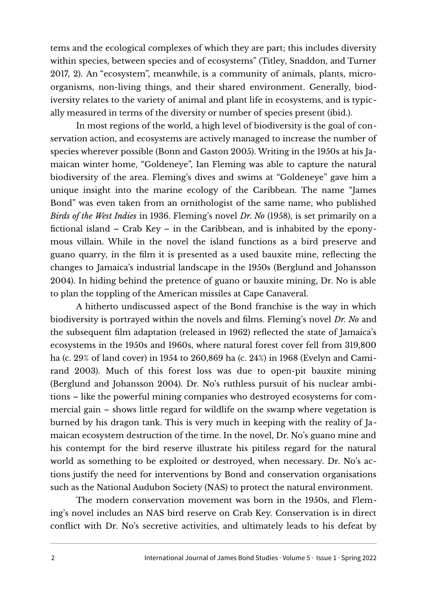tems and the ecological complexes of which they are part; this includes diversity within species, between species and of ecosystems" (Titley, Snaddon, and Turner 2017, 2). An "ecosystem", meanwhile, is a community of animals, plants, microorganisms, non-living things, and their shared environment. Generally, biodiversity relates to the variety of animal and plant life in ecosystems, and is typically measured in terms of the diversity or number of species present (ibid.).

In most regions of the world, a high level of biodiversity is the goal of conservation action, and ecosystems are actively managed to increase the number of species wherever possible (Bonn and Gaston 2005). Writing in the 1950s at his Jamaican winter home, "Goldeneye", Ian Fleming was able to capture the natural biodiversity of the area. Fleming's dives and swims at "Goldeneye" gave him a unique insight into the marine ecology of the Caribbean. The name "James Bond" was even taken from an ornithologist of the same name, who published *Birds of the West Indies* in 1936. Fleming's novel *Dr. No* (1958), is set primarily on a fictional island – Crab Key – in the Caribbean, and is inhabited by the eponymous villain. While in the novel the island functions as a bird preserve and guano quarry, in the flm it is presented as a used bauxite mine, refecting the changes to Jamaica's industrial landscape in the 1950s (Berglund and Johansson 2004). In hiding behind the pretence of guano or bauxite mining, Dr. No is able to plan the toppling of the American missiles at Cape Canaveral.

A hitherto undiscussed aspect of the Bond franchise is the way in which biodiversity is portrayed within the novels and flms. Fleming's novel *Dr. No* and the subsequent flm adaptation (released in 1962) refected the state of Jamaica's ecosystems in the 1950s and 1960s, where natural forest cover fell from 319,800 ha (c. 29% of land cover) in 1954 to 260,869 ha (c. 24%) in 1968 (Evelyn and Camirand 2003). Much of this forest loss was due to open-pit bauxite mining (Berglund and Johansson 2004). Dr. No's ruthless pursuit of his nuclear ambitions – like the powerful mining companies who destroyed ecosystems for commercial gain – shows little regard for wildlife on the swamp where vegetation is burned by his dragon tank. This is very much in keeping with the reality of Jamaican ecosystem destruction of the time. In the novel, Dr. No's guano mine and his contempt for the bird reserve illustrate his pitiless regard for the natural world as something to be exploited or destroyed, when necessary. Dr. No's actions justify the need for interventions by Bond and conservation organisations such as the National Audubon Society (NAS) to protect the natural environment.

The modern conservation movement was born in the 1950s, and Fleming's novel includes an NAS bird reserve on Crab Key. Conservation is in direct confict with Dr. No's secretive activities, and ultimately leads to his defeat by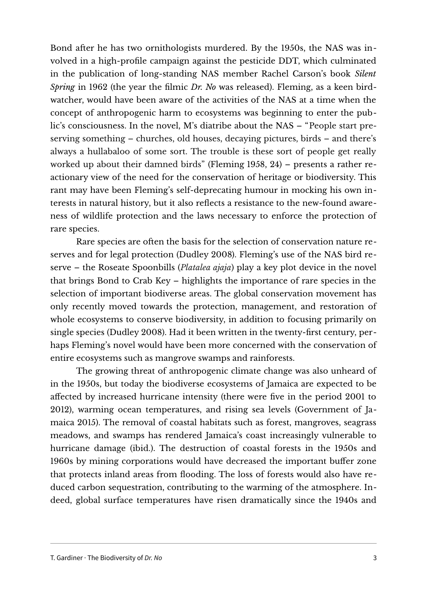Bond after he has two ornithologists murdered. By the 1950s, the NAS was involved in a high-profle campaign against the pesticide DDT, which culminated in the publication of long-standing NAS member Rachel Carson's book *Silent Spring* in 1962 (the year the flmic *Dr. No* was released). Fleming, as a keen birdwatcher, would have been aware of the activities of the NAS at a time when the concept of anthropogenic harm to ecosystems was beginning to enter the public's consciousness. In the novel, M's diatribe about the NAS – "People start preserving something – churches, old houses, decaying pictures, birds – and there's always a hullabaloo of some sort. The trouble is these sort of people get really worked up about their damned birds" (Fleming 1958,  $24$ ) – presents a rather reactionary view of the need for the conservation of heritage or biodiversity. This rant may have been Fleming's self-deprecating humour in mocking his own interests in natural history, but it also reflects a resistance to the new-found awareness of wildlife protection and the laws necessary to enforce the protection of rare species.

Rare species are often the basis for the selection of conservation nature reserves and for legal protection (Dudley 2008). Fleming's use of the NAS bird reserve – the Roseate Spoonbills (*Platalea ajaja*) play a key plot device in the novel that brings Bond to Crab Key – highlights the importance of rare species in the selection of important biodiverse areas. The global conservation movement has only recently moved towards the protection, management, and restoration of whole ecosystems to conserve biodiversity, in addition to focusing primarily on single species (Dudley 2008). Had it been written in the twenty-frst century, perhaps Fleming's novel would have been more concerned with the conservation of entire ecosystems such as mangrove swamps and rainforests.

The growing threat of anthropogenic climate change was also unheard of in the 1950s, but today the biodiverse ecosystems of Jamaica are expected to be affected by increased hurricane intensity (there were fve in the period 2001 to 2012), warming ocean temperatures, and rising sea levels (Government of Jamaica 2015). The removal of coastal habitats such as forest, mangroves, seagrass meadows, and swamps has rendered Jamaica's coast increasingly vulnerable to hurricane damage (ibid.). The destruction of coastal forests in the 1950s and 1960s by mining corporations would have decreased the important buffer zone that protects inland areas from fooding. The loss of forests would also have reduced carbon sequestration, contributing to the warming of the atmosphere. Indeed, global surface temperatures have risen dramatically since the 1940s and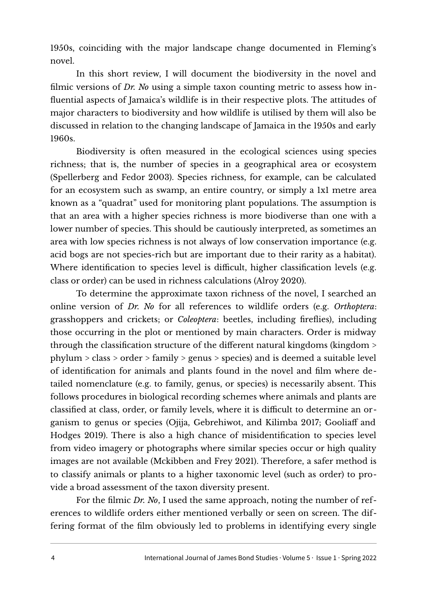1950s, coinciding with the major landscape change documented in Fleming's novel.

In this short review, I will document the biodiversity in the novel and flmic versions of *Dr. No* using a simple taxon counting metric to assess how infuential aspects of Jamaica's wildlife is in their respective plots. The attitudes of major characters to biodiversity and how wildlife is utilised by them will also be discussed in relation to the changing landscape of Jamaica in the 1950s and early 1960s.

Biodiversity is ofen measured in the ecological sciences using species richness; that is, the number of species in a geographical area or ecosystem (Spellerberg and Fedor 2003). Species richness, for example, can be calculated for an ecosystem such as swamp, an entire country, or simply a 1x1 metre area known as a "quadrat" used for monitoring plant populations. The assumption is that an area with a higher species richness is more biodiverse than one with a lower number of species. This should be cautiously interpreted, as sometimes an area with low species richness is not always of low conservation importance (e.g. acid bogs are not species-rich but are important due to their rarity as a habitat). Where identification to species level is difficult, higher classification levels (e.g. class or order) can be used in richness calculations (Alroy 2020).

To determine the approximate taxon richness of the novel, I searched an online version of *Dr. No* for all references to wildlife orders (e.g. *Orthoptera*: grasshoppers and crickets; or *Coleoptera*: beetles, including frefies), including those occurring in the plot or mentioned by main characters. Order is midway through the classifcation structure of the different natural kingdoms (kingdom > phylum > class > order > family > genus > species) and is deemed a suitable level of identifcation for animals and plants found in the novel and flm where detailed nomenclature (e.g. to family, genus, or species) is necessarily absent. This follows procedures in biological recording schemes where animals and plants are classified at class, order, or family levels, where it is difficult to determine an organism to genus or species (Ojija, Gebrehiwot, and Kilimba 2017; Gooliaff and Hodges 2019). There is also a high chance of misidentifcation to species level from video imagery or photographs where similar species occur or high quality images are not available (Mckibben and Frey 2021). Therefore, a safer method is to classify animals or plants to a higher taxonomic level (such as order) to provide a broad assessment of the taxon diversity present.

For the flmic *Dr. No*, I used the same approach, noting the number of references to wildlife orders either mentioned verbally or seen on screen. The differing format of the flm obviously led to problems in identifying every single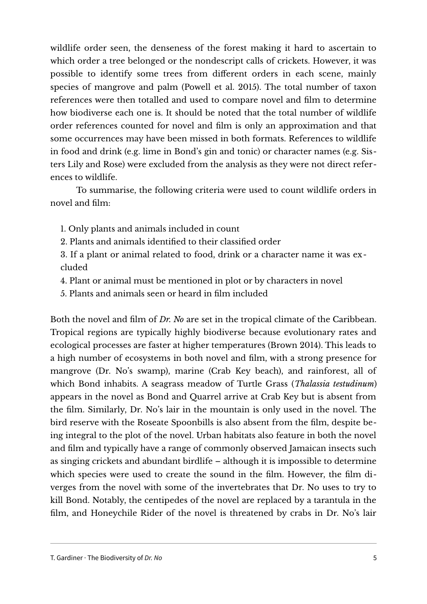wildlife order seen, the denseness of the forest making it hard to ascertain to which order a tree belonged or the nondescript calls of crickets. However, it was possible to identify some trees from different orders in each scene, mainly species of mangrove and palm (Powell et al. 2015). The total number of taxon references were then totalled and used to compare novel and flm to determine how biodiverse each one is. It should be noted that the total number of wildlife order references counted for novel and flm is only an approximation and that some occurrences may have been missed in both formats. References to wildlife in food and drink (e.g. lime in Bond's gin and tonic) or character names (e.g. Sisters Lily and Rose) were excluded from the analysis as they were not direct references to wildlife.

To summarise, the following criteria were used to count wildlife orders in novel and flm:

- 1. Only plants and animals included in count
- 2. Plants and animals identifed to their classifed order
- 3. If a plant or animal related to food, drink or a character name it was excluded
- 4. Plant or animal must be mentioned in plot or by characters in novel
- 5. Plants and animals seen or heard in flm included

Both the novel and flm of *Dr. No* are set in the tropical climate of the Caribbean. Tropical regions are typically highly biodiverse because evolutionary rates and ecological processes are faster at higher temperatures (Brown 2014). This leads to a high number of ecosystems in both novel and flm, with a strong presence for mangrove (Dr. No's swamp), marine (Crab Key beach), and rainforest, all of which Bond inhabits. A seagrass meadow of Turtle Grass (*Thalassia testudinum*) appears in the novel as Bond and Quarrel arrive at Crab Key but is absent from the flm. Similarly, Dr. No's lair in the mountain is only used in the novel. The bird reserve with the Roseate Spoonbills is also absent from the flm, despite being integral to the plot of the novel. Urban habitats also feature in both the novel and flm and typically have a range of commonly observed Jamaican insects such as singing crickets and abundant birdlife  $-$  although it is impossible to determine which species were used to create the sound in the film. However, the film diverges from the novel with some of the invertebrates that Dr. No uses to try to kill Bond. Notably, the centipedes of the novel are replaced by a tarantula in the flm, and Honeychile Rider of the novel is threatened by crabs in Dr. No's lair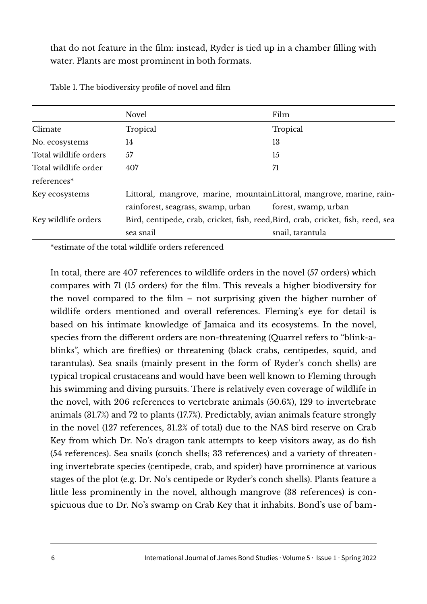that do not feature in the flm: instead, Ryder is tied up in a chamber flling with water. Plants are most prominent in both formats.

|                       | <b>Novel</b>                                                                     | Film                 |
|-----------------------|----------------------------------------------------------------------------------|----------------------|
| Climate               | Tropical                                                                         | Tropical             |
| No. ecosystems        | 14                                                                               | 13                   |
| Total wildlife orders | 57                                                                               | 15                   |
| Total wildlife order  | 407                                                                              | 71                   |
| references*           |                                                                                  |                      |
| Key ecosystems        | Littoral, mangrove, marine, mountainLittoral, mangrove, marine, rain-            |                      |
|                       | rainforest, seagrass, swamp, urban                                               | forest, swamp, urban |
| Key wildlife orders   | Bird, centipede, crab, cricket, fish, reed, Bird, crab, cricket, fish, reed, sea |                      |
|                       | sea snail                                                                        | snail, tarantula     |

Table 1. The biodiversity profle of novel and flm

\*estimate of the total wildlife orders referenced

In total, there are 407 references to wildlife orders in the novel (57 orders) which compares with 71 (15 orders) for the flm. This reveals a higher biodiversity for the novel compared to the film  $-$  not surprising given the higher number of wildlife orders mentioned and overall references. Fleming's eye for detail is based on his intimate knowledge of Jamaica and its ecosystems. In the novel, species from the different orders are non-threatening (Quarrel refers to "blink-ablinks", which are frefies) or threatening (black crabs, centipedes, squid, and tarantulas). Sea snails (mainly present in the form of Ryder's conch shells) are typical tropical crustaceans and would have been well known to Fleming through his swimming and diving pursuits. There is relatively even coverage of wildlife in the novel, with 206 references to vertebrate animals (50.6%), 129 to invertebrate animals (31.7%) and 72 to plants (17.7%). Predictably, avian animals feature strongly in the novel (127 references, 31.2% of total) due to the NAS bird reserve on Crab Key from which Dr. No's dragon tank attempts to keep visitors away, as do fsh (54 references). Sea snails (conch shells; 33 references) and a variety of threatening invertebrate species (centipede, crab, and spider) have prominence at various stages of the plot (e.g. Dr. No's centipede or Ryder's conch shells). Plants feature a little less prominently in the novel, although mangrove (38 references) is conspicuous due to Dr. No's swamp on Crab Key that it inhabits. Bond's use of bam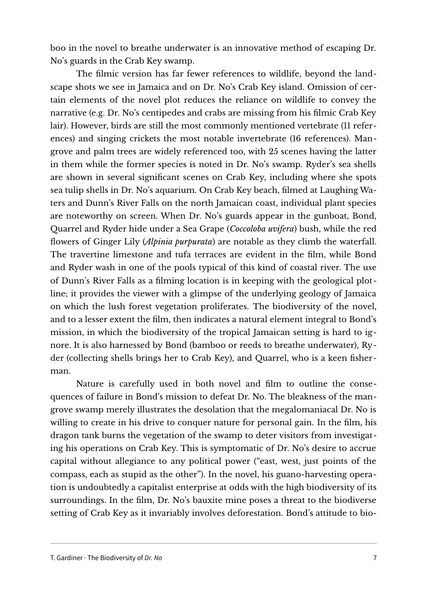boo in the novel to breathe underwater is an innovative method of escaping Dr. No's guards in the Crab Key swamp.

The flmic version has far fewer references to wildlife, beyond the landscape shots we see in Jamaica and on Dr. No's Crab Key island. Omission of certain elements of the novel plot reduces the reliance on wildlife to convey the narrative (e.g. Dr. No's centipedes and crabs are missing from his flmic Crab Key lair). However, birds are still the most commonly mentioned vertebrate (11 references) and singing crickets the most notable invertebrate (16 references). Mangrove and palm trees are widely referenced too, with 25 scenes having the latter in them while the former species is noted in Dr. No's swamp. Ryder's sea shells are shown in several signifcant scenes on Crab Key, including where she spots sea tulip shells in Dr. No's aquarium. On Crab Key beach, flmed at Laughing Waters and Dunn's River Falls on the north Jamaican coast, individual plant species are noteworthy on screen. When Dr. No's guards appear in the gunboat, Bond, Quarrel and Ryder hide under a Sea Grape (*Coccoloba uvifera*) bush, while the red fowers of Ginger Lily (*Alpinia purpurata*) are notable as they climb the waterfall. The travertine limestone and tufa terraces are evident in the flm, while Bond and Ryder wash in one of the pools typical of this kind of coastal river. The use of Dunn's River Falls as a flming location is in keeping with the geological plotline; it provides the viewer with a glimpse of the underlying geology of Jamaica on which the lush forest vegetation proliferates. The biodiversity of the novel, and to a lesser extent the flm, then indicates a natural element integral to Bond's mission, in which the biodiversity of the tropical Jamaican setting is hard to ignore. It is also harnessed by Bond (bamboo or reeds to breathe underwater), Ryder (collecting shells brings her to Crab Key), and Quarrel, who is a keen fsherman.

Nature is carefully used in both novel and flm to outline the consequences of failure in Bond's mission to defeat Dr. No. The bleakness of the mangrove swamp merely illustrates the desolation that the megalomaniacal Dr. No is willing to create in his drive to conquer nature for personal gain. In the flm, his dragon tank burns the vegetation of the swamp to deter visitors from investigating his operations on Crab Key. This is symptomatic of Dr. No's desire to accrue capital without allegiance to any political power ("east, west, just points of the compass, each as stupid as the other"). In the novel, his guano-harvesting operation is undoubtedly a capitalist enterprise at odds with the high biodiversity of its surroundings. In the flm, Dr. No's bauxite mine poses a threat to the biodiverse setting of Crab Key as it invariably involves deforestation. Bond's attitude to bio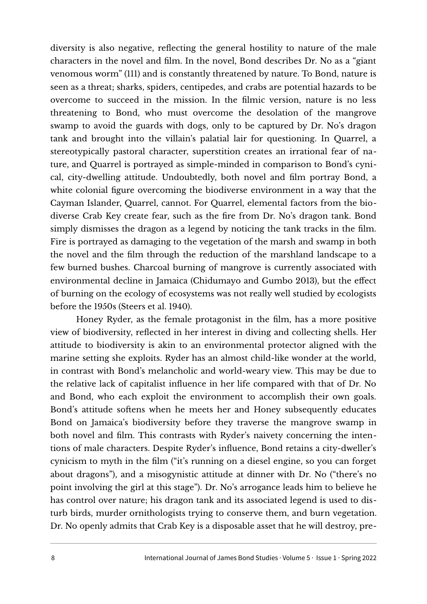diversity is also negative, refecting the general hostility to nature of the male characters in the novel and flm. In the novel, Bond describes Dr. No as a "giant venomous worm" (111) and is constantly threatened by nature. To Bond, nature is seen as a threat; sharks, spiders, centipedes, and crabs are potential hazards to be overcome to succeed in the mission. In the flmic version, nature is no less threatening to Bond, who must overcome the desolation of the mangrove swamp to avoid the guards with dogs, only to be captured by Dr. No's dragon tank and brought into the villain's palatial lair for questioning. In Quarrel, a stereotypically pastoral character, superstition creates an irrational fear of nature, and Quarrel is portrayed as simple-minded in comparison to Bond's cynical, city-dwelling attitude. Undoubtedly, both novel and flm portray Bond, a white colonial fgure overcoming the biodiverse environment in a way that the Cayman Islander, Quarrel, cannot. For Quarrel, elemental factors from the biodiverse Crab Key create fear, such as the fre from Dr. No's dragon tank. Bond simply dismisses the dragon as a legend by noticing the tank tracks in the flm. Fire is portrayed as damaging to the vegetation of the marsh and swamp in both the novel and the flm through the reduction of the marshland landscape to a few burned bushes. Charcoal burning of mangrove is currently associated with environmental decline in Jamaica (Chidumayo and Gumbo 2013), but the effect of burning on the ecology of ecosystems was not really well studied by ecologists before the 1950s (Steers et al. 1940).

Honey Ryder, as the female protagonist in the flm, has a more positive view of biodiversity, refected in her interest in diving and collecting shells. Her attitude to biodiversity is akin to an environmental protector aligned with the marine setting she exploits. Ryder has an almost child-like wonder at the world, in contrast with Bond's melancholic and world-weary view. This may be due to the relative lack of capitalist infuence in her life compared with that of Dr. No and Bond, who each exploit the environment to accomplish their own goals. Bond's attitude softens when he meets her and Honey subsequently educates Bond on Jamaica's biodiversity before they traverse the mangrove swamp in both novel and flm. This contrasts with Ryder's naivety concerning the intentions of male characters. Despite Ryder's infuence, Bond retains a city-dweller's cynicism to myth in the flm ("it's running on a diesel engine, so you can forget about dragons"), and a misogynistic attitude at dinner with Dr. No ("there's no point involving the girl at this stage"). Dr. No's arrogance leads him to believe he has control over nature; his dragon tank and its associated legend is used to disturb birds, murder ornithologists trying to conserve them, and burn vegetation. Dr. No openly admits that Crab Key is a disposable asset that he will destroy, pre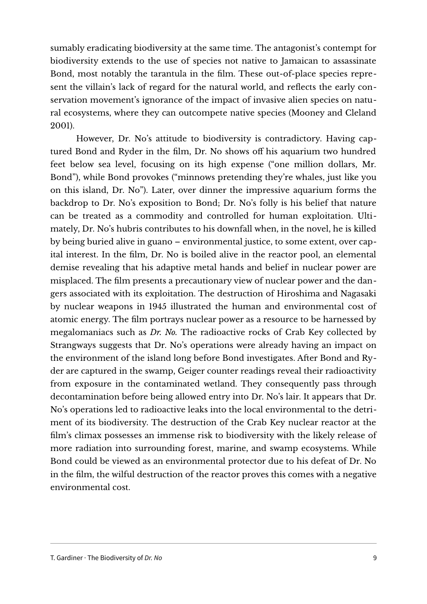sumably eradicating biodiversity at the same time. The antagonist's contempt for biodiversity extends to the use of species not native to Jamaican to assassinate Bond, most notably the tarantula in the flm. These out-of-place species represent the villain's lack of regard for the natural world, and refects the early conservation movement's ignorance of the impact of invasive alien species on natural ecosystems, where they can outcompete native species (Mooney and Cleland 2001).

However, Dr. No's attitude to biodiversity is contradictory. Having captured Bond and Ryder in the flm, Dr. No shows off his aquarium two hundred feet below sea level, focusing on its high expense ("one million dollars, Mr. Bond"), while Bond provokes ("minnows pretending they're whales, just like you on this island, Dr. No"). Later, over dinner the impressive aquarium forms the backdrop to Dr. No's exposition to Bond; Dr. No's folly is his belief that nature can be treated as a commodity and controlled for human exploitation. Ultimately, Dr. No's hubris contributes to his downfall when, in the novel, he is killed by being buried alive in guano – environmental justice, to some extent, over capital interest. In the flm, Dr. No is boiled alive in the reactor pool, an elemental demise revealing that his adaptive metal hands and belief in nuclear power are misplaced. The flm presents a precautionary view of nuclear power and the dangers associated with its exploitation. The destruction of Hiroshima and Nagasaki by nuclear weapons in 1945 illustrated the human and environmental cost of atomic energy. The flm portrays nuclear power as a resource to be harnessed by megalomaniacs such as *Dr. No.* The radioactive rocks of Crab Key collected by Strangways suggests that Dr. No's operations were already having an impact on the environment of the island long before Bond investigates. Afer Bond and Ryder are captured in the swamp, Geiger counter readings reveal their radioactivity from exposure in the contaminated wetland. They consequently pass through decontamination before being allowed entry into Dr. No's lair. It appears that Dr. No's operations led to radioactive leaks into the local environmental to the detriment of its biodiversity. The destruction of the Crab Key nuclear reactor at the flm's climax possesses an immense risk to biodiversity with the likely release of more radiation into surrounding forest, marine, and swamp ecosystems. While Bond could be viewed as an environmental protector due to his defeat of Dr. No in the flm, the wilful destruction of the reactor proves this comes with a negative environmental cost.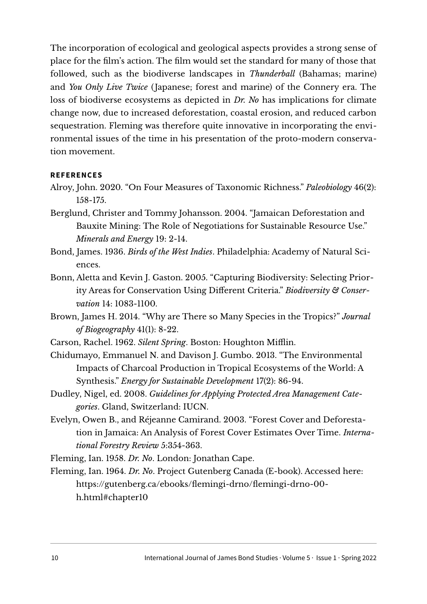The incorporation of ecological and geological aspects provides a strong sense of place for the flm's action. The flm would set the standard for many of those that followed, such as the biodiverse landscapes in *Thunderball* (Bahamas; marine) and *You Only Live Twice* (Japanese; forest and marine) of the Connery era. The loss of biodiverse ecosystems as depicted in *Dr. No* has implications for climate change now, due to increased deforestation, coastal erosion, and reduced carbon sequestration. Fleming was therefore quite innovative in incorporating the environmental issues of the time in his presentation of the proto-modern conservation movement.

## **REFERENCES**

- Alroy, John. 2020. "On Four Measures of Taxonomic Richness." *Paleobiology* 46(2): 158-175.
- Berglund, Christer and Tommy Johansson. 2004. "Jamaican Deforestation and Bauxite Mining: The Role of Negotiations for Sustainable Resource Use." *Minerals and Energy* 19: 2-14.
- Bond, James. 1936. *Birds of the West Indies*. Philadelphia: Academy of Natural Sciences.
- Bonn, Aletta and Kevin J. Gaston. 2005. "Capturing Biodiversity: Selecting Priority Areas for Conservation Using Different Criteria." *Biodiversity & Conservation* 14: 1083-1100.
- Brown, James H. 2014. "Why are There so Many Species in the Tropics?" *Journal of Biogeography* 41(1): 8-22.
- Carson, Rachel. 1962. *Silent Spring*. Boston: Houghton Mifin.
- Chidumayo, Emmanuel N. and Davison J. Gumbo. 2013. "The Environmental Impacts of Charcoal Production in Tropical Ecosystems of the World: A Synthesis." *Energy for Sustainable Development* 17(2): 86-94.
- Dudley, Nigel, ed. 2008. *Guidelines for Applying Protected Area Management Categories*. Gland, Switzerland: IUCN.
- Evelyn, Owen B., and Réjeanne Camirand. 2003. "Forest Cover and Deforestation in Jamaica: An Analysis of Forest Cover Estimates Over Time. *International Forestry Review* 5:354-363.

Fleming, Ian. 1958. *Dr. No*. London: Jonathan Cape.

Fleming, Ian. 1964. *Dr. No*. Project Gutenberg Canada (E-book). Accessed here: [https://gutenberg.ca/ebooks/femingi-drno/femingi-drno-00](https://gutenberg.ca/ebooks/flemingi-drno/flemingi-drno-00-h.html#chapter10) [h.html#chapter10](https://gutenberg.ca/ebooks/flemingi-drno/flemingi-drno-00-h.html#chapter10)